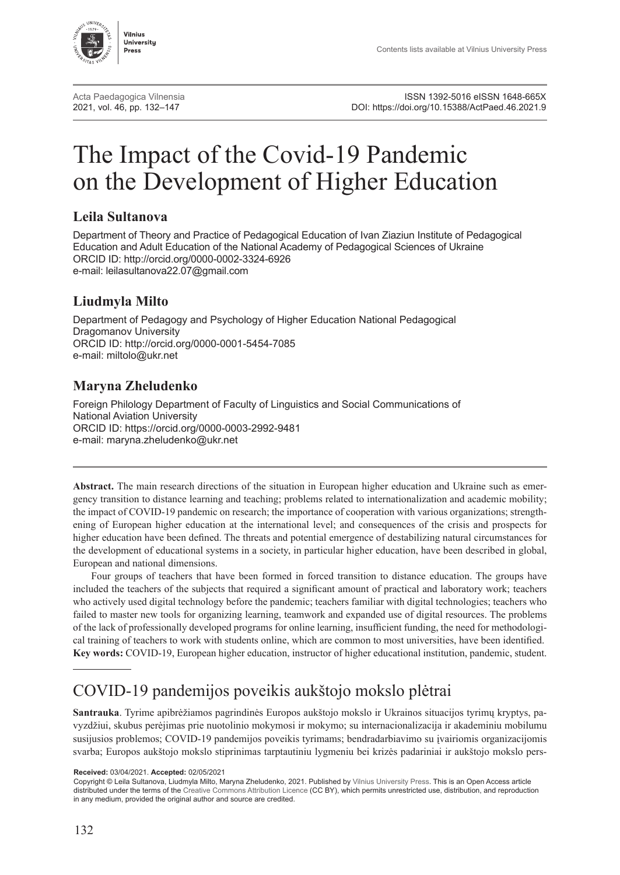

[Acta Paedagogica Vilnensia](http://www.journals.vu.lt/acta-paedagogica-vilnensia/)<br>2021, vol. 46, pp. 132–147 **Participal ISSN 1392-5016 eISSN 1648-665X**<br>2021, DOI: https://doi.org/10.15388/ActPaed.46.2021.9 DOI: [https://doi.org/10.15388/ActPaed.46.2021.9](https://doi.org/10.15388/ActPaed.46.2021.9
)

# The Impact of the Covid-19 Pandemic on the Development of Higher Education

#### **Leila Sultanova**

Department of Theory and Practice of Pedagogical Education of Ivan Ziaziun Institute of Pedagogical Education and Adult Education of the National Academy of Pedagogical Sciences of Ukraine ORCID ID:<http://orcid.org/0000-0002-3324-6926> e-mail: [leilasultanova22.07@gmail.com](mailto:leilasultanova22.07@gmail.com)

#### **Liudmyla Milto**

Department of Pedagogy and Psychology of Higher Education National Pedagogical Dragomanov University ORCID ID:<http://orcid.org/0000-0001-5454-7085> e-mail: [miltolo@ukr.net](mailto:miltolo@ukr.net)

#### **Maryna Zheludenko**

Foreign Philology Department of Faculty of Linguistics and Social Communications of National Aviation University ORCID ID:<https://orcid.org/0000-0003-2992-9481> e-mail: [maryna.zheludenko@ukr.net](mailto:maryna.zheludenko@ukr.net)

**Abstract.** The main research directions of the situation in European higher education and Ukraine such as emergency transition to distance learning and teaching; problems related to internationalization and academic mobility; the impact of COVID-19 pandemic on research; the importance of cooperation with various organizations; strengthening of European higher education at the international level; and consequences of the crisis and prospects for higher education have been defined. The threats and potential emergence of destabilizing natural circumstances for the development of educational systems in a society, in particular higher education, have been described in global, European and national dimensions.

Four groups of teachers that have been formed in forced transition to distance education. The groups have included the teachers of the subjects that required a significant amount of practical and laboratory work; teachers who actively used digital technology before the pandemic; teachers familiar with digital technologies; teachers who failed to master new tools for organizing learning, teamwork and expanded use of digital resources. The problems of the lack of professionally developed programs for online learning, insufficient funding, the need for methodological training of teachers to work with students online, which are common to most universities, have been identified. **Key words:** COVID-19, European higher education, instructor of higher educational institution, pandemic, student.

## COVID-19 pandemijos poveikis aukštojo mokslo plėtrai

**Santrauka**. Tyrime apibrėžiamos pagrindinės Europos aukštojo mokslo ir Ukrainos situacijos tyrimų kryptys, pavyzdžiui, skubus perėjimas prie nuotolinio mokymosi ir mokymo; su internacionalizacija ir akademiniu mobilumu susijusios problemos; COVID-19 pandemijos poveikis tyrimams; bendradarbiavimo su įvairiomis organizacijomis svarba; Europos aukštojo mokslo stiprinimas tarptautiniu lygmeniu bei krizės padariniai ir aukštojo mokslo pers-

**Received:** 03/04/2021. **Accepted:** 02/05/2021

Copyright © Leila Sultanova, Liudmyla Milto, Maryna Zheludenko, 2021. Published by [Vilnius University Press.](https://www.vu.lt/leidyba/en/) This is an Open Access article distributed under the terms of the [Creative Commons Attribution Licence](https://creativecommons.org/licenses/by/4.0/) (CC BY), which permits unrestricted use, distribution, and reproduction in any medium, provided the original author and source are credited.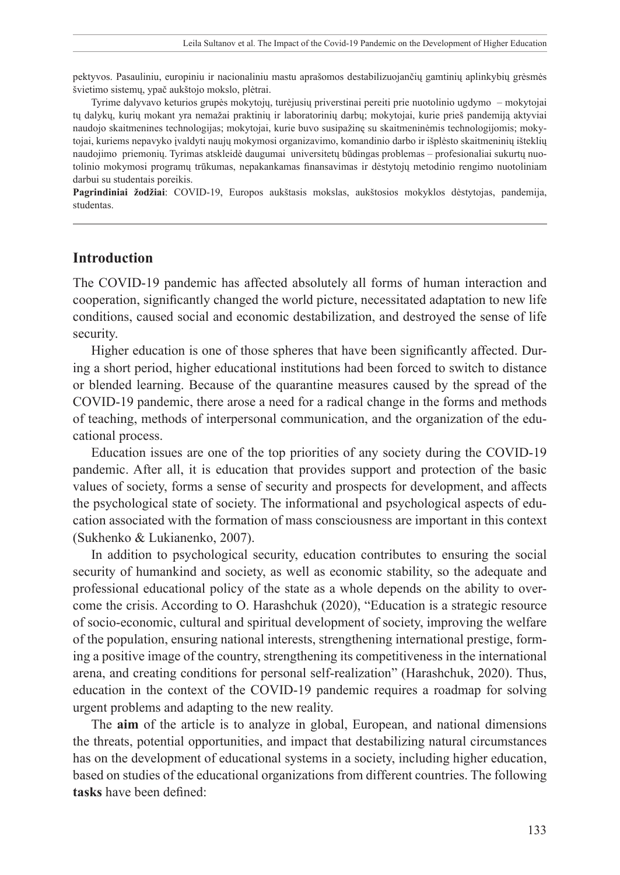pektyvos. Pasauliniu, europiniu ir nacionaliniu mastu aprašomos destabilizuojančių gamtinių aplinkybių grėsmės švietimo sistemų, ypač aukštojo mokslo, plėtrai.

Tyrime dalyvavo keturios grupės mokytojų, turėjusių priverstinai pereiti prie nuotolinio ugdymo – mokytojai tų dalykų, kurių mokant yra nemažai praktinių ir laboratorinių darbų; mokytojai, kurie prieš pandemiją aktyviai naudojo skaitmenines technologijas; mokytojai, kurie buvo susipažinę su skaitmeninėmis technologijomis; mokytojai, kuriems nepavyko įvaldyti naujų mokymosi organizavimo, komandinio darbo ir išplėsto skaitmeninių išteklių naudojimo priemonių. Tyrimas atskleidė daugumai universitetų būdingas problemas – profesionaliai sukurtų nuotolinio mokymosi programų trūkumas, nepakankamas finansavimas ir dėstytojų metodinio rengimo nuotoliniam darbui su studentais poreikis.

**Pagrindiniai žodžiai**: COVID-19, Europos aukštasis mokslas, aukštosios mokyklos dėstytojas, pandemija, studentas.

#### **Introduction**

The COVID-19 pandemic has affected absolutely all forms of human interaction and cooperation, significantly changed the world picture, necessitated adaptation to new life conditions, caused social and economic destabilization, and destroyed the sense of life security.

Higher education is one of those spheres that have been significantly affected. During a short period, higher educational institutions had been forced to switch to distance or blended learning. Because of the quarantine measures caused by the spread of the COVID-19 pandemic, there arose a need for a radical change in the forms and methods of teaching, methods of interpersonal communication, and the organization of the educational process.

Education issues are one of the top priorities of any society during the COVID-19 pandemic. After all, it is education that provides support and protection of the basic values of society, forms a sense of security and prospects for development, and affects the psychological state of society. The informational and psychological aspects of education associated with the formation of mass consciousness are important in this context (Sukhenko & Lukianenko, 2007).

In addition to psychological security, education contributes to ensuring the social security of humankind and society, as well as economic stability, so the adequate and professional educational policy of the state as a whole depends on the ability to overcome the crisis. According to O. Harashchuk (2020), "Education is a strategic resource of socio-economic, cultural and spiritual development of society, improving the welfare of the population, ensuring national interests, strengthening international prestige, forming a positive image of the country, strengthening its competitiveness in the international arena, and creating conditions for personal self-realization" (Harashchuk, 2020). Thus, education in the context of the COVID-19 pandemic requires a roadmap for solving urgent problems and adapting to the new reality.

The **aim** of the article is to analyze in global, European, and national dimensions the threats, potential opportunities, and impact that destabilizing natural circumstances has on the development of educational systems in a society, including higher education, based on studies of the educational organizations from different countries. The following **tasks** have been defined: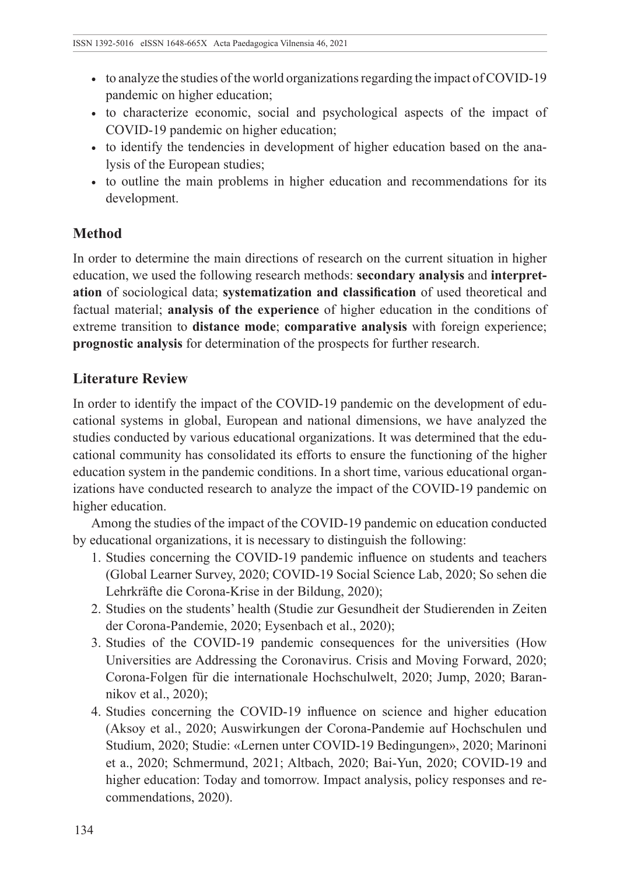- to analyze the studies of the world organizations regarding the impact of COVID-19 pandemic on higher education;
- to characterize economic, social and psychological aspects of the impact of COVID-19 pandemic on higher education;
- to identify the tendencies in development of higher education based on the analysis of the European studies;
- to outline the main problems in higher education and recommendations for its development.

## **Method**

In order to determine the main directions of research on the current situation in higher education, we used the following research methods: **secondary analysis** and **interpretation** of sociological data; **systematization and classification** of used theoretical and factual material; **analysis of the experience** of higher education in the conditions of extreme transition to **distance mode**; **comparative analysis** with foreign experience; **prognostic analysis** for determination of the prospects for further research.

## **Literature Review**

In order to identify the impact of the COVID-19 pandemic on the development of educational systems in global, European and national dimensions, we have analyzed the studies conducted by various educational organizations. It was determined that the educational community has consolidated its efforts to ensure the functioning of the higher education system in the pandemic conditions. In a short time, various educational organizations have conducted research to analyze the impact of the COVID-19 pandemic on higher education.

Among the studies of the impact of the COVID-19 pandemic on education conducted by educational organizations, it is necessary to distinguish the following:

- 1. Studies concerning the COVID-19 pandemic influence on students and teachers (Global Learner Survey, 2020; COVID-19 Social Science Lab, 2020; So sehen die Lehrkräfte die Corona-Krise in der Bildung, 2020);
- 2. Studies on the students' health (Studie zur Gesundheit der Studierenden in Zeiten der Corona-Pandemie, 2020; Eysenbach et al., 2020);
- 3. Studies of the COVID-19 pandemic consequences for the universities (How Universities are Addressing the Coronavirus. Crisis and Moving Forward, 2020; Corona-Folgen für die internationale Hochschulwelt, 2020; Jump, 2020; Barannikov et al., 2020);
- 4. Studies concerning the COVID-19 influence on science and higher education (Aksoy et al., 2020; Auswirkungen der Corona-Pandemie auf Hochschulen und Studium, 2020; Studie: «Lernen unter COVID-19 Bedingungen», 2020; Marinoni et a., 2020; Schmermund, 2021; Altbach, 2020; Bai-Yun, 2020; COVID-19 and higher education: Today and tomorrow. Impact analysis, policy responses and recommendations, 2020).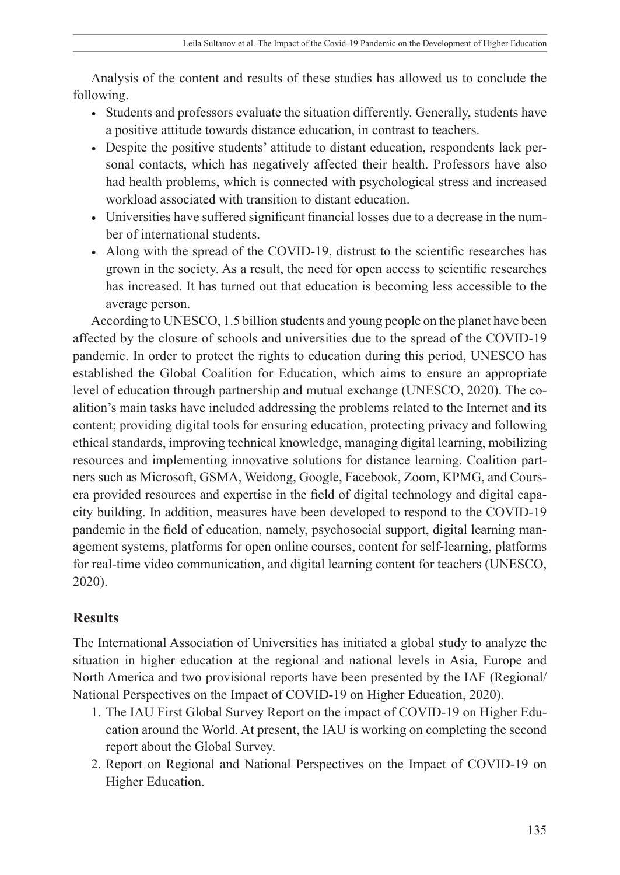Analysis of the content and results of these studies has allowed us to conclude the following.

- Students and professors evaluate the situation differently. Generally, students have a positive attitude towards distance education, in contrast to teachers.
- Despite the positive students' attitude to distant education, respondents lack personal contacts, which has negatively affected their health. Professors have also had health problems, which is connected with psychological stress and increased workload associated with transition to distant education.
- Universities have suffered significant financial losses due to a decrease in the number of international students.
- Along with the spread of the COVID-19, distrust to the scientific researches has grown in the society. As a result, the need for open access to scientific researches has increased. It has turned out that education is becoming less accessible to the average person.

According to UNESCO, 1.5 billion students and young people on the planet have been affected by the closure of schools and universities due to the spread of the COVID-19 pandemic. In order to protect the rights to education during this period, UNESCO has established the Global Coalition for Education, which aims to ensure an appropriate level of education through partnership and mutual exchange (UNESCO, 2020). The coalition's main tasks have included addressing the problems related to the Internet and its content; providing digital tools for ensuring education, protecting privacy and following ethical standards, improving technical knowledge, managing digital learning, mobilizing resources and implementing innovative solutions for distance learning. Coalition partners such as Microsoft, GSMA, Weidong, Google, Facebook, Zoom, KPMG, and Coursera provided resources and expertise in the field of digital technology and digital capacity building. In addition, measures have been developed to respond to the COVID-19 pandemic in the field of education, namely, psychosocial support, digital learning management systems, platforms for open online courses, content for self-learning, platforms for real-time video communication, and digital learning content for teachers (UNESCO, 2020).

## **Results**

The International Association of Universities has initiated a global study to analyze the situation in higher education at the regional and national levels in Asia, Europe and North America and two provisional reports have been presented by the IAF (Regional/ National Perspectives on the Impact of COVID-19 on Higher Education, 2020).

- 1. The IAU First Global Survey Report on the impact of COVID-19 on Higher Education around the World. At present, the IAU is working on completing the second report about the Global Survey.
- 2. Report on Regional and National Perspectives on the Impact of COVID-19 on Higher Education.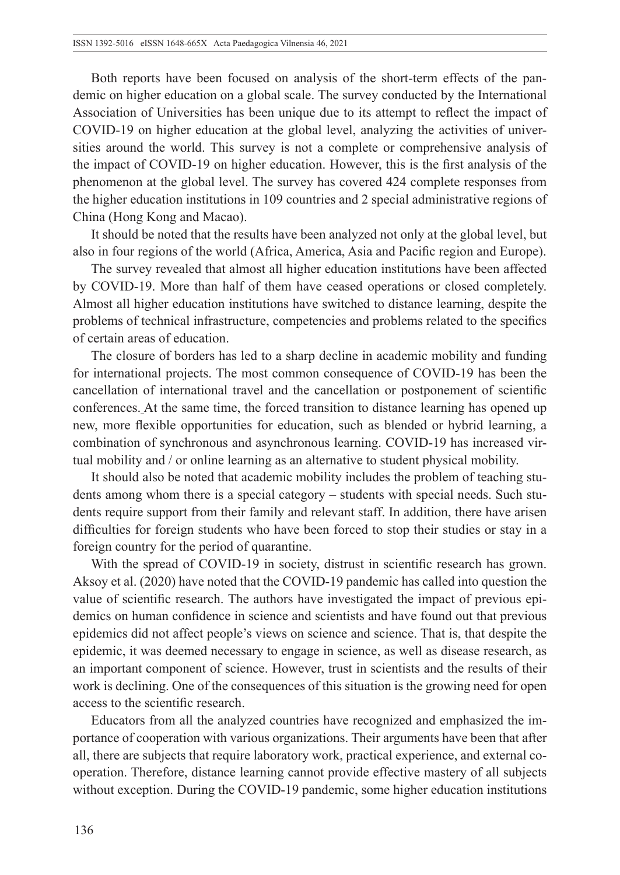Both reports have been focused on analysis of the short-term effects of the pandemic on higher education on a global scale. The survey conducted by the International Association of Universities has been unique due to its attempt to reflect the impact of COVID-19 on higher education at the global level, analyzing the activities of universities around the world. This survey is not a complete or comprehensive analysis of the impact of COVID-19 on higher education. However, this is the first analysis of the phenomenon at the global level. The survey has covered 424 complete responses from the higher education institutions in 109 countries and 2 special administrative regions of China (Hong Kong and Macao).

It should be noted that the results have been analyzed not only at the global level, but also in four regions of the world (Africa, America, Asia and Pacific region and Europe).

The survey revealed that almost all higher education institutions have been affected by COVID-19. More than half of them have ceased operations or closed completely. Almost all higher education institutions have switched to distance learning, despite the problems of technical infrastructure, competencies and problems related to the specifics of certain areas of education.

The closure of borders has led to a sharp decline in academic mobility and funding for international projects. The most common consequence of COVID-19 has been the cancellation of international travel and the cancellation or postponement of scientific conferences. At the same time, the forced transition to distance learning has opened up new, more flexible opportunities for education, such as blended or hybrid learning, a combination of synchronous and asynchronous learning. COVID-19 has increased virtual mobility and / or online learning as an alternative to student physical mobility.

It should also be noted that academic mobility includes the problem of teaching students among whom there is a special category – students with special needs. Such students require support from their family and relevant staff. In addition, there have arisen difficulties for foreign students who have been forced to stop their studies or stay in a foreign country for the period of quarantine.

With the spread of COVID-19 in society, distrust in scientific research has grown. Aksoy et al. (2020) have noted that the COVID-19 pandemic has called into question the value of scientific research. The authors have investigated the impact of previous epidemics on human confidence in science and scientists and have found out that previous epidemics did not affect people's views on science and science. That is, that despite the epidemic, it was deemed necessary to engage in science, as well as disease research, as an important component of science. However, trust in scientists and the results of their work is declining. One of the consequences of this situation is the growing need for open access to the scientific research.

Educators from all the analyzed countries have recognized and emphasized the importance of cooperation with various organizations. Their arguments have been that after all, there are subjects that require laboratory work, practical experience, and external cooperation. Therefore, distance learning cannot provide effective mastery of all subjects without exception. During the COVID-19 pandemic, some higher education institutions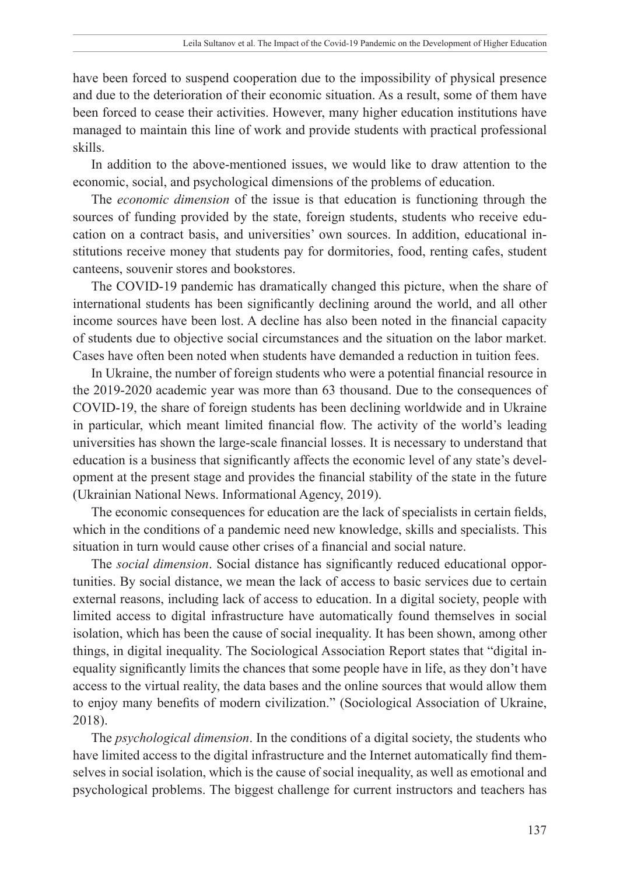have been forced to suspend cooperation due to the impossibility of physical presence and due to the deterioration of their economic situation. As a result, some of them have been forced to cease their activities. However, many higher education institutions have managed to maintain this line of work and provide students with practical professional skills.

In addition to the above-mentioned issues, we would like to draw attention to the economic, social, and psychological dimensions of the problems of education.

The *economic dimension* of the issue is that education is functioning through the sources of funding provided by the state, foreign students, students who receive education on a contract basis, and universities' own sources. In addition, educational institutions receive money that students pay for dormitories, food, renting cafes, student canteens, souvenir stores and bookstores.

The COVID-19 pandemic has dramatically changed this picture, when the share of international students has been significantly declining around the world, and all other income sources have been lost. A decline has also been noted in the financial capacity of students due to objective social circumstances and the situation on the labor market. Cases have often been noted when students have demanded a reduction in tuition fees.

In Ukraine, the number of foreign students who were a potential financial resource in the 2019-2020 academic year was more than 63 thousand. Due to the consequences of COVID-19, the share of foreign students has been declining worldwide and in Ukraine in particular, which meant limited financial flow. The activity of the world's leading universities has shown the large-scale financial losses. It is necessary to understand that education is a business that significantly affects the economic level of any state's development at the present stage and provides the financial stability of the state in the future (Ukrainian National News. Informational Agency, 2019).

The economic consequences for education are the lack of specialists in certain fields, which in the conditions of a pandemic need new knowledge, skills and specialists. This situation in turn would cause other crises of a financial and social nature.

The *social dimension*. Social distance has significantly reduced educational opportunities. By social distance, we mean the lack of access to basic services due to certain external reasons, including lack of access to education. In a digital society, people with limited access to digital infrastructure have automatically found themselves in social isolation, which has been the cause of social inequality. It has been shown, among other things, in digital inequality. The Sociological Association Report states that "digital inequality significantly limits the chances that some people have in life, as they don't have access to the virtual reality, the data bases and the online sources that would allow them to enjoy many benefits of modern civilization." (Sociological Association of Ukraine, 2018).

The *psychological dimension*. In the conditions of a digital society, the students who have limited access to the digital infrastructure and the Internet automatically find themselves in social isolation, which is the cause of social inequality, as well as emotional and psychological problems. The biggest challenge for current instructors and teachers has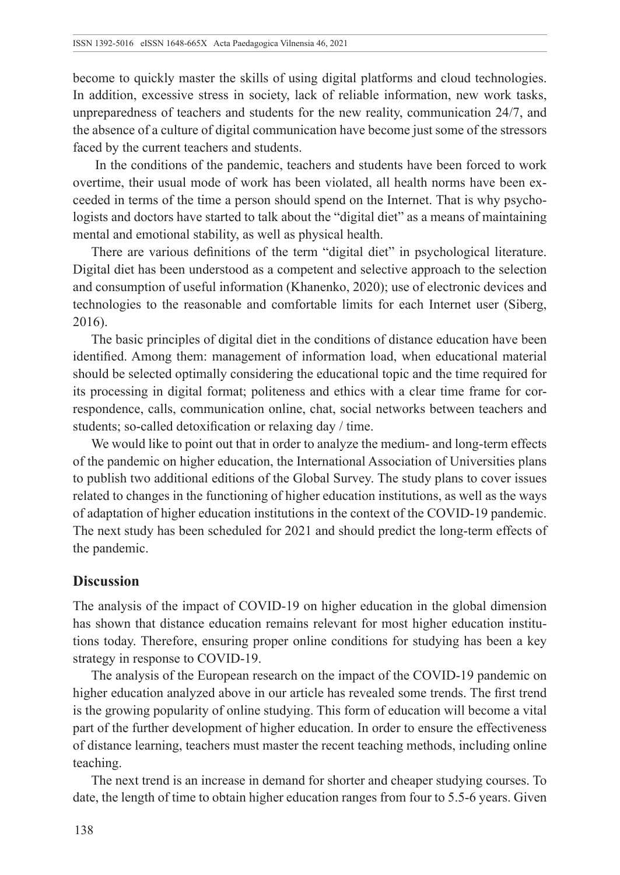become to quickly master the skills of using digital platforms and cloud technologies. In addition, excessive stress in society, lack of reliable information, new work tasks, unpreparedness of teachers and students for the new reality, communication 24/7, and the absence of a culture of digital communication have become just some of the stressors faced by the current teachers and students.

 In the conditions of the pandemic, teachers and students have been forced to work overtime, their usual mode of work has been violated, all health norms have been exceeded in terms of the time a person should spend on the Internet. That is why psychologists and doctors have started to talk about the "digital diet" as a means of maintaining mental and emotional stability, as well as physical health.

There are various definitions of the term "digital diet" in psychological literature. Digital diet has been understood as a competent and selective approach to the selection and consumption of useful information (Khanenko, 2020); use of electronic devices and technologies to the reasonable and comfortable limits for each Internet user (Siberg, 2016).

The basic principles of digital diet in the conditions of distance education have been identified. Among them: management of information load, when educational material should be selected optimally considering the educational topic and the time required for its processing in digital format; politeness and ethics with a clear time frame for correspondence, calls, communication online, chat, social networks between teachers and students; so-called detoxification or relaxing day / time.

We would like to point out that in order to analyze the medium- and long-term effects of the pandemic on higher education, the International Association of Universities plans to publish two additional editions of the Global Survey. The study plans to cover issues related to changes in the functioning of higher education institutions, as well as the ways of adaptation of higher education institutions in the context of the COVID-19 pandemic. The next study has been scheduled for 2021 and should predict the long-term effects of the pandemic.

### **Discussion**

The analysis of the impact of COVID-19 on higher education in the global dimension has shown that distance education remains relevant for most higher education institutions today. Therefore, ensuring proper online conditions for studying has been a key strategy in response to COVID-19.

The analysis of the European research on the impact of the COVID-19 pandemic on higher education analyzed above in our article has revealed some trends. The first trend is the growing popularity of online studying. This form of education will become a vital part of the further development of higher education. In order to ensure the effectiveness of distance learning, teachers must master the recent teaching methods, including online teaching.

The next trend is an increase in demand for shorter and cheaper studying courses. To date, the length of time to obtain higher education ranges from four to 5.5-6 years. Given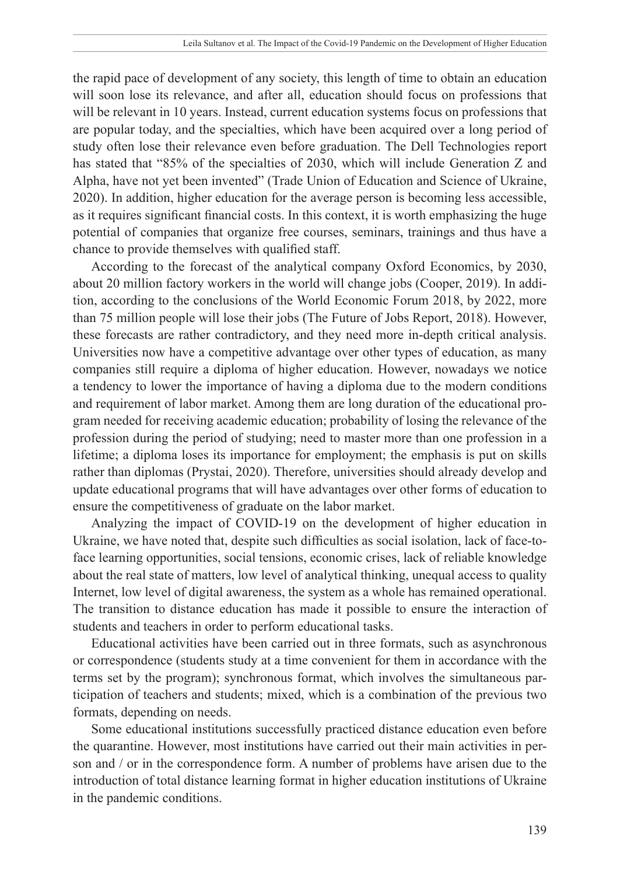the rapid pace of development of any society, this length of time to obtain an education will soon lose its relevance, and after all, education should focus on professions that will be relevant in 10 years. Instead, current education systems focus on professions that are popular today, and the specialties, which have been acquired over a long period of study often lose their relevance even before graduation. The Dell Technologies report has stated that "85% of the specialties of 2030, which will include Generation Z and Alpha, have not yet been invented" (Trade Union of Education and Science of Ukraine, 2020). In addition, higher education for the average person is becoming less accessible, as it requires significant financial costs. In this context, it is worth emphasizing the huge potential of companies that organize free courses, seminars, trainings and thus have a chance to provide themselves with qualified staff.

According to the forecast of the analytical company Oxford Economics, by 2030, about 20 million factory workers in the world will change jobs (Cooper, 2019). In addition, according to the conclusions of the World Economic Forum 2018, by 2022, more than 75 million people will lose their jobs (The Future of Jobs Report, 2018). However, these forecasts are rather contradictory, and they need more in-depth critical analysis. Universities now have a competitive advantage over other types of education, as many companies still require a diploma of higher education. However, nowadays we notice a tendency to lower the importance of having a diploma due to the modern conditions and requirement of labor market. Among them are long duration of the educational program needed for receiving academic education; probability of losing the relevance of the profession during the period of studying; need to master more than one profession in a lifetime; a diploma loses its importance for employment; the emphasis is put on skills rather than diplomas (Prystai, 2020). Therefore, universities should already develop and update educational programs that will have advantages over other forms of education to ensure the competitiveness of graduate on the labor market.

Analyzing the impact of COVID-19 on the development of higher education in Ukraine, we have noted that, despite such difficulties as social isolation, lack of face-toface learning opportunities, social tensions, economic crises, lack of reliable knowledge about the real state of matters, low level of analytical thinking, unequal access to quality Internet, low level of digital awareness, the system as a whole has remained operational. The transition to distance education has made it possible to ensure the interaction of students and teachers in order to perform educational tasks.

Educational activities have been carried out in three formats, such as asynchronous or correspondence (students study at a time convenient for them in accordance with the terms set by the program); synchronous format, which involves the simultaneous participation of teachers and students; mixed, which is a combination of the previous two formats, depending on needs.

Some educational institutions successfully practiced distance education even before the quarantine. However, most institutions have carried out their main activities in person and / or in the correspondence form. A number of problems have arisen due to the introduction of total distance learning format in higher education institutions of Ukraine in the pandemic conditions.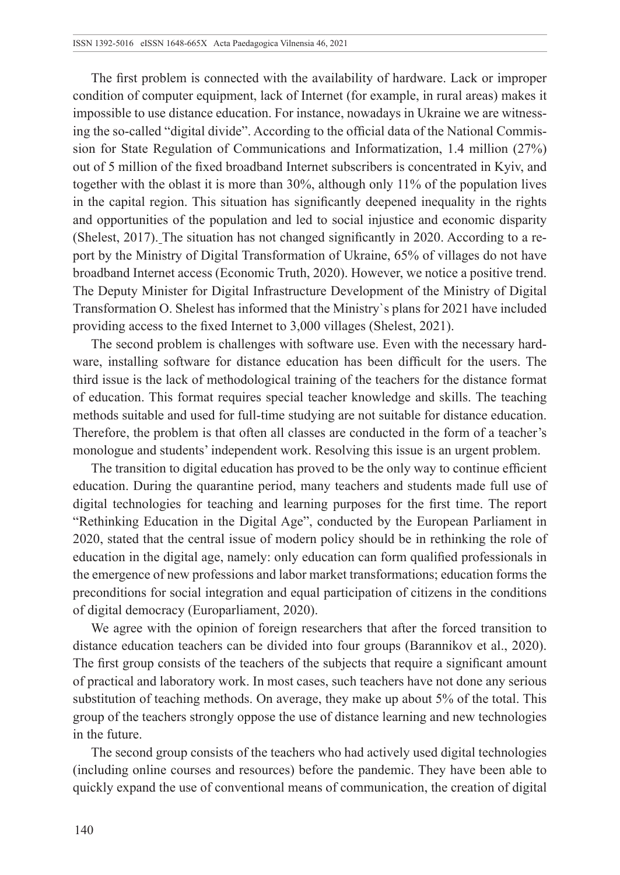The first problem is connected with the availability of hardware. Lack or improper condition of computer equipment, lack of Internet (for example, in rural areas) makes it impossible to use distance education. For instance, nowadays in Ukraine we are witnessing the so-called "digital divide". According to the official data of the National Commission for State Regulation of Communications and Informatization, 1.4 million (27%) out of 5 million of the fixed broadband Internet subscribers is concentrated in Kyiv, and together with the oblast it is more than 30%, although only 11% of the population lives in the capital region. This situation has significantly deepened inequality in the rights and opportunities of the population and led to social injustice and economic disparity (Shelest, 2017). The situation has not changed significantly in 2020. According to a report by the Ministry of Digital Transformation of Ukraine, 65% of villages do not have broadband Internet access (Economic Truth, 2020). However, we notice a positive trend. The Deputy Minister for Digital Infrastructure Development of the Ministry of Digital Transformation O. Shelest has informed that the Ministry`s plans for 2021 have included providing access to the fixed Internet to 3,000 villages (Shelest, 2021).

The second problem is challenges with software use. Even with the necessary hardware, installing software for distance education has been difficult for the users. The third issue is the lack of methodological training of the teachers for the distance format of education. This format requires special teacher knowledge and skills. The teaching methods suitable and used for full-time studying are not suitable for distance education. Therefore, the problem is that often all classes are conducted in the form of a teacher's monologue and students' independent work. Resolving this issue is an urgent problem.

The transition to digital education has proved to be the only way to continue efficient education. During the quarantine period, many teachers and students made full use of digital technologies for teaching and learning purposes for the first time. The report "Rethinking Education in the Digital Age", conducted by the European Parliament in 2020, stated that the central issue of modern policy should be in rethinking the role of education in the digital age, namely: only education can form qualified professionals in the emergence of new professions and labor market transformations; education forms the preconditions for social integration and equal participation of citizens in the conditions of digital democracy (Europarliament, 2020).

We agree with the opinion of foreign researchers that after the forced transition to distance education teachers can be divided into four groups (Barannikov et al., 2020). The first group consists of the teachers of the subjects that require a significant amount of practical and laboratory work. In most cases, such teachers have not done any serious substitution of teaching methods. On average, they make up about 5% of the total. This group of the teachers strongly oppose the use of distance learning and new technologies in the future.

The second group consists of the teachers who had actively used digital technologies (including online courses and resources) before the pandemic. They have been able to quickly expand the use of conventional means of communication, the creation of digital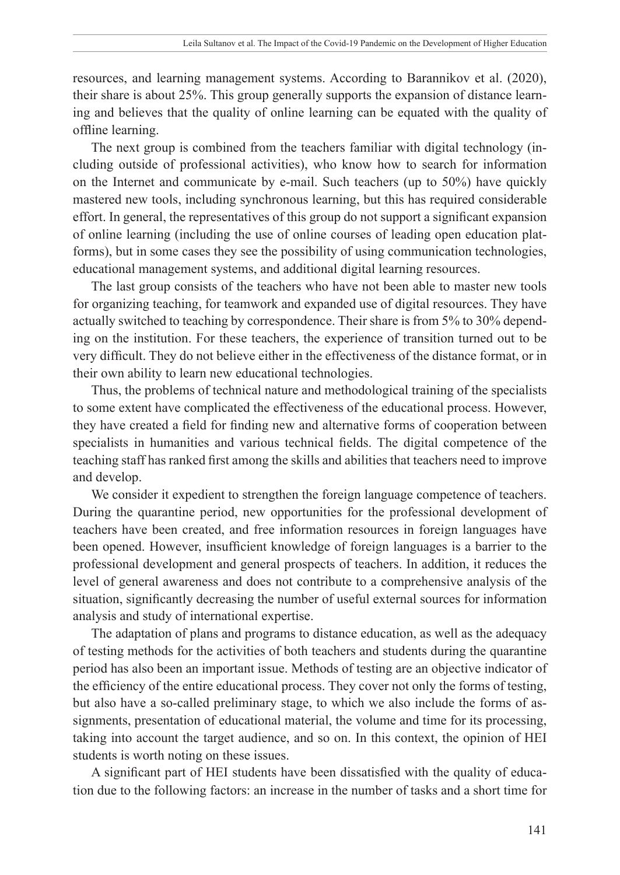resources, and learning management systems. According to Barannikov et al. (2020), their share is about 25%. This group generally supports the expansion of distance learning and believes that the quality of online learning can be equated with the quality of offline learning.

The next group is combined from the teachers familiar with digital technology (including outside of professional activities), who know how to search for information on the Internet and communicate by e-mail. Such teachers (up to 50%) have quickly mastered new tools, including synchronous learning, but this has required considerable effort. In general, the representatives of this group do not support a significant expansion of online learning (including the use of online courses of leading open education platforms), but in some cases they see the possibility of using communication technologies, educational management systems, and additional digital learning resources.

The last group consists of the teachers who have not been able to master new tools for organizing teaching, for teamwork and expanded use of digital resources. They have actually switched to teaching by correspondence. Their share is from 5% to 30% depending on the institution. For these teachers, the experience of transition turned out to be very difficult. They do not believe either in the effectiveness of the distance format, or in their own ability to learn new educational technologies.

Thus, the problems of technical nature and methodological training of the specialists to some extent have complicated the effectiveness of the educational process. However, they have created a field for finding new and alternative forms of cooperation between specialists in humanities and various technical fields. The digital competence of the teaching staff has ranked first among the skills and abilities that teachers need to improve and develop.

We consider it expedient to strengthen the foreign language competence of teachers. During the quarantine period, new opportunities for the professional development of teachers have been created, and free information resources in foreign languages have been opened. However, insufficient knowledge of foreign languages is a barrier to the professional development and general prospects of teachers. In addition, it reduces the level of general awareness and does not contribute to a comprehensive analysis of the situation, significantly decreasing the number of useful external sources for information analysis and study of international expertise.

The adaptation of plans and programs to distance education, as well as the adequacy of testing methods for the activities of both teachers and students during the quarantine period has also been an important issue. Methods of testing are an objective indicator of the efficiency of the entire educational process. They cover not only the forms of testing, but also have a so-called preliminary stage, to which we also include the forms of assignments, presentation of educational material, the volume and time for its processing, taking into account the target audience, and so on. In this context, the opinion of HEI students is worth noting on these issues.

A significant part of HEI students have been dissatisfied with the quality of education due to the following factors: an increase in the number of tasks and a short time for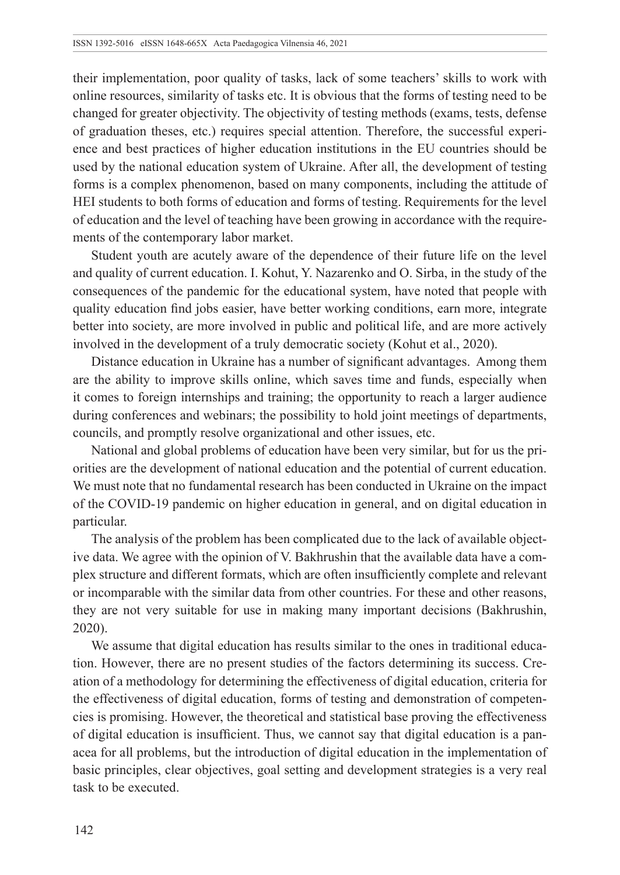their implementation, poor quality of tasks, lack of some teachers' skills to work with online resources, similarity of tasks etc. It is obvious that the forms of testing need to be changed for greater objectivity. The objectivity of testing methods (exams, tests, defense of graduation theses, etc.) requires special attention. Therefore, the successful experience and best practices of higher education institutions in the EU countries should be used by the national education system of Ukraine. After all, the development of testing forms is a complex phenomenon, based on many components, including the attitude of HEI students to both forms of education and forms of testing. Requirements for the level of education and the level of teaching have been growing in accordance with the requirements of the contemporary labor market.

Student youth are acutely aware of the dependence of their future life on the level and quality of current education. I. Kohut, Y. Nazarenko and O. Sirba, in the study of the consequences of the pandemic for the educational system, have noted that people with quality education find jobs easier, have better working conditions, earn more, integrate better into society, are more involved in public and political life, and are more actively involved in the development of a truly democratic society (Kohut et al., 2020).

Distance education in Ukraine has a number of significant advantages. Among them are the ability to improve skills online, which saves time and funds, especially when it comes to foreign internships and training; the opportunity to reach a larger audience during conferences and webinars; the possibility to hold joint meetings of departments, councils, and promptly resolve organizational and other issues, etc.

National and global problems of education have been very similar, but for us the priorities are the development of national education and the potential of current education. We must note that no fundamental research has been conducted in Ukraine on the impact of the COVID-19 pandemic on higher education in general, and on digital education in particular.

The analysis of the problem has been complicated due to the lack of available objective data. We agree with the opinion of V. Bakhrushin that the available data have a complex structure and different formats, which are often insufficiently complete and relevant or incomparable with the similar data from other countries. For these and other reasons, they are not very suitable for use in making many important decisions (Bakhrushin, 2020).

We assume that digital education has results similar to the ones in traditional education. However, there are no present studies of the factors determining its success. Creation of a methodology for determining the effectiveness of digital education, criteria for the effectiveness of digital education, forms of testing and demonstration of competencies is promising. However, the theoretical and statistical base proving the effectiveness of digital education is insufficient. Thus, we cannot say that digital education is a panacea for all problems, but the introduction of digital education in the implementation of basic principles, clear objectives, goal setting and development strategies is a very real task to be executed.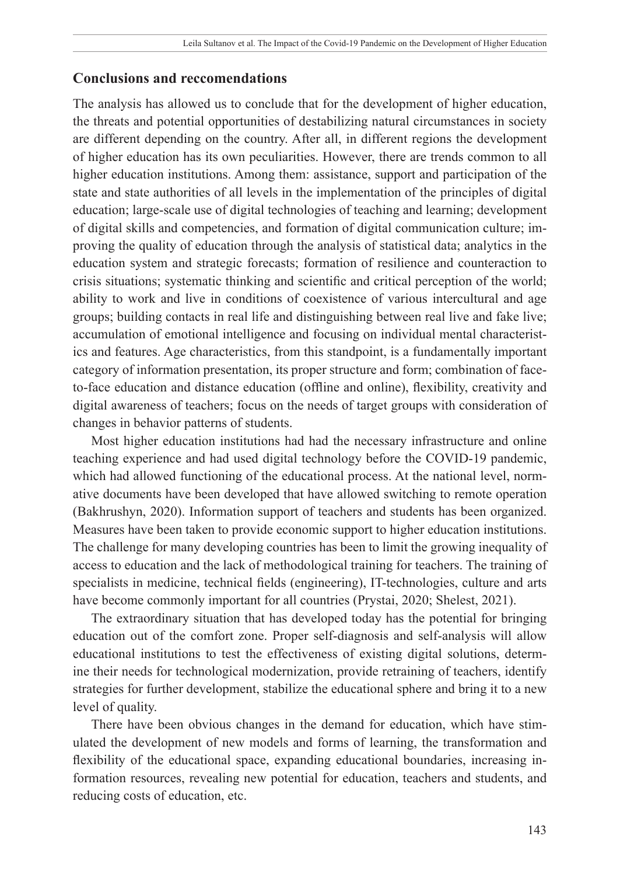## **Conclusions and reccomendations**

The analysis has allowed us to conclude that for the development of higher education, the threats and potential opportunities of destabilizing natural circumstances in society are different depending on the country. After all, in different regions the development of higher education has its own peculiarities. However, there are trends common to all higher education institutions. Among them: assistance, support and participation of the state and state authorities of all levels in the implementation of the principles of digital education; large-scale use of digital technologies of teaching and learning; development of digital skills and competencies, and formation of digital communication culture; improving the quality of education through the analysis of statistical data; analytics in the education system and strategic forecasts; formation of resilience and counteraction to crisis situations; systematic thinking and scientific and critical perception of the world; ability to work and live in conditions of coexistence of various intercultural and age groups; building contacts in real life and distinguishing between real live and fake live; accumulation of emotional intelligence and focusing on individual mental characteristics and features. Age characteristics, from this standpoint, is a fundamentally important category of information presentation, its proper structure and form; combination of faceto-face education and distance education (offline and online), flexibility, creativity and digital awareness of teachers; focus on the needs of target groups with consideration of changes in behavior patterns of students.

Most higher education institutions had had the necessary infrastructure and online teaching experience and had used digital technology before the COVID-19 pandemic, which had allowed functioning of the educational process. At the national level, normative documents have been developed that have allowed switching to remote operation (Bakhrushyn, 2020). Information support of teachers and students has been organized. Measures have been taken to provide economic support to higher education institutions. The challenge for many developing countries has been to limit the growing inequality of access to education and the lack of methodological training for teachers. The training of specialists in medicine, technical fields (engineering), IT-technologies, culture and arts have become commonly important for all countries (Prystai, 2020; Shelest, 2021).

The extraordinary situation that has developed today has the potential for bringing education out of the comfort zone. Proper self-diagnosis and self-analysis will allow educational institutions to test the effectiveness of existing digital solutions, determine their needs for technological modernization, provide retraining of teachers, identify strategies for further development, stabilize the educational sphere and bring it to a new level of quality.

There have been obvious changes in the demand for education, which have stimulated the development of new models and forms of learning, the transformation and flexibility of the educational space, expanding educational boundaries, increasing information resources, revealing new potential for education, teachers and students, and reducing costs of education, etc.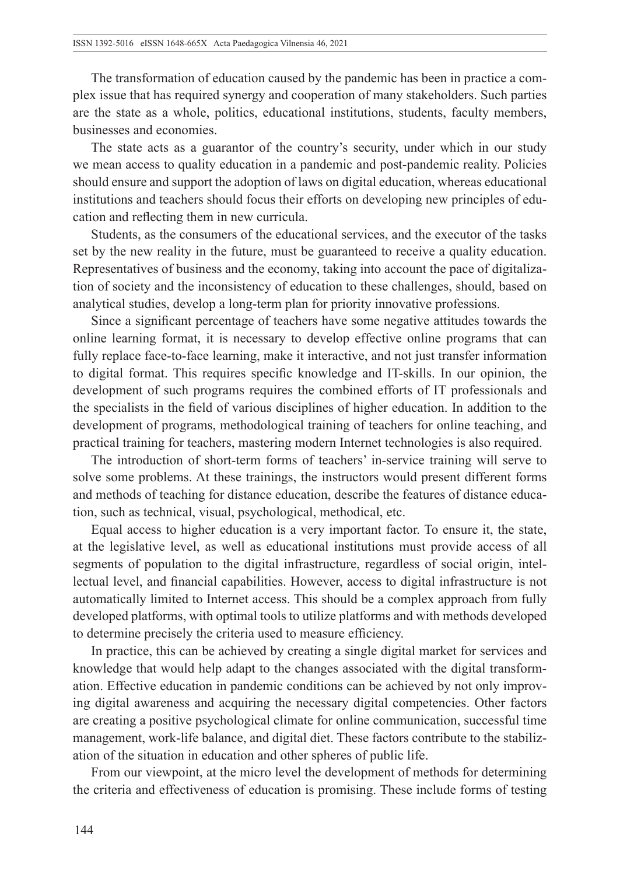The transformation of education caused by the pandemic has been in practice a complex issue that has required synergy and cooperation of many stakeholders. Such parties are the state as a whole, politics, educational institutions, students, faculty members, businesses and economies.

The state acts as a guarantor of the country's security, under which in our study we mean access to quality education in a pandemic and post-pandemic reality. Policies should ensure and support the adoption of laws on digital education, whereas educational institutions and teachers should focus their efforts on developing new principles of education and reflecting them in new curricula.

Students, as the consumers of the educational services, and the executor of the tasks set by the new reality in the future, must be guaranteed to receive a quality education. Representatives of business and the economy, taking into account the pace of digitalization of society and the inconsistency of education to these challenges, should, based on analytical studies, develop a long-term plan for priority innovative professions.

Since a significant percentage of teachers have some negative attitudes towards the online learning format, it is necessary to develop effective online programs that can fully replace face-to-face learning, make it interactive, and not just transfer information to digital format. This requires specific knowledge and IT-skills. In our opinion, the development of such programs requires the combined efforts of IT professionals and the specialists in the field of various disciplines of higher education. In addition to the development of programs, methodological training of teachers for online teaching, and practical training for teachers, mastering modern Internet technologies is also required.

The introduction of short-term forms of teachers' in-service training will serve to solve some problems. At these trainings, the instructors would present different forms and methods of teaching for distance education, describe the features of distance education, such as technical, visual, psychological, methodical, etc.

Equal access to higher education is a very important factor. To ensure it, the state, at the legislative level, as well as educational institutions must provide access of all segments of population to the digital infrastructure, regardless of social origin, intellectual level, and financial capabilities. However, access to digital infrastructure is not automatically limited to Internet access. This should be a complex approach from fully developed platforms, with optimal tools to utilize platforms and with methods developed to determine precisely the criteria used to measure efficiency.

In practice, this can be achieved by creating a single digital market for services and knowledge that would help adapt to the changes associated with the digital transformation. Effective education in pandemic conditions can be achieved by not only improving digital awareness and acquiring the necessary digital competencies. Other factors are creating a positive psychological climate for online communication, successful time management, work-life balance, and digital diet. These factors contribute to the stabilization of the situation in education and other spheres of public life.

From our viewpoint, at the micro level the development of methods for determining the criteria and effectiveness of education is promising. These include forms of testing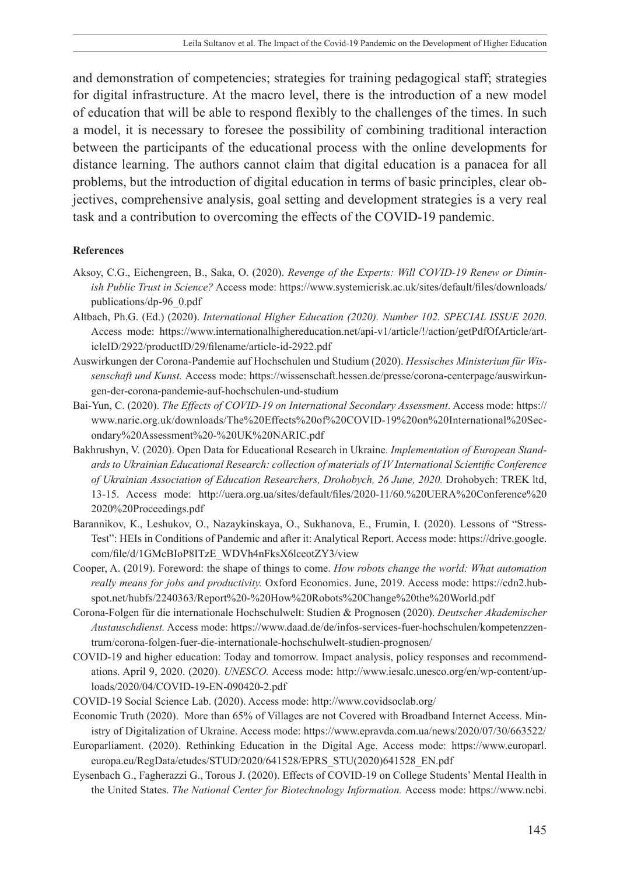and demonstration of competencies; strategies for training pedagogical staff; strategies for digital infrastructure. At the macro level, there is the introduction of a new model of education that will be able to respond flexibly to the challenges of the times. In such a model, it is necessary to foresee the possibility of combining traditional interaction between the participants of the educational process with the online developments for distance learning. The authors cannot claim that digital education is a panacea for all problems, but the introduction of digital education in terms of basic principles, clear objectives, comprehensive analysis, goal setting and development strategies is a very real task and a contribution to overcoming the effects of the COVID-19 pandemic.

#### **References**

- Aksoy, C.G., Eichengreen, B., Saka, O. (2020). *Revenge of the Experts: Will COVID-19 Renew or Diminish Public Trust in Science?* Access mode: [https://www.systemicrisk.ac.uk/sites/default/files/downloads/](https://www.systemicrisk.ac.uk/sites/default/files/downloads/publications/dp-96_0.pdf) [publications/dp-96\\_0.pdf](https://www.systemicrisk.ac.uk/sites/default/files/downloads/publications/dp-96_0.pdf)
- Altbach, Ph.G. (Ed.) (2020). *International Higher Education (2020). Number 102. SPECIAL ISSUE 2020*. Access mode: [https://www.internationalhighereducation.net/api-v1/article/!/action/getPdfOfArticle/art](https://www.internationalhighereducation.net/api-v1/article/!/action/getPdfOfArticle/articleID/2922/productID/29/filename/article-id-2922.pdf)[icleID/2922/productID/29/filename/article-id-2922.pdf](https://www.internationalhighereducation.net/api-v1/article/!/action/getPdfOfArticle/articleID/2922/productID/29/filename/article-id-2922.pdf)
- Auswirkungen der Corona-Pandemie auf Hochschulen und Studium (2020). *Hessisches Ministerium für Wissenschaft und Kunst.* Access mode: [https://wissenschaft.hessen.de/presse/corona-centerpage/auswirkun](https://wissenschaft.hessen.de/presse/corona-centerpage/auswirkungen-der-corona-pandemie-auf-hochschulen-und-studium)[gen-der-corona-pandemie-auf-hochschulen-und-studium](https://wissenschaft.hessen.de/presse/corona-centerpage/auswirkungen-der-corona-pandemie-auf-hochschulen-und-studium)
- Bai-Yun, C. (2020). *The Effects of COVID-19 on International Secondary Assessment*. Access mode: [https://](https://www.naric.org.uk/downloads/The Effects of COVID-19 on International Secondary Assessment  UK NARIC.pdf) [www.naric.org.uk/downloads/The%20Effects%20of%20COVID-19%20on%20International%20Sec](https://www.naric.org.uk/downloads/The Effects of COVID-19 on International Secondary Assessment - UK NARIC.pdf)[ondary%20Assessment%20-%20UK%20NARIC.pdf](https://www.naric.org.uk/downloads/The Effects of COVID-19 on International Secondary Assessment - UK NARIC.pdf)
- Bakhrushyn, V. (2020). Open Data for Educational Research in Ukraine. *Implementation of European Standards to Ukrainian Educational Research: collection of materials of IV International Scientific Conference of Ukrainian Association of Education Researchers, Drohobych, 26 June, 2020.* Drohobych: TREK ltd, 13-15. Access mode: [http://uera.org.ua/sites/default/files/2020-11/60.%20UERA%20Conference%20](http://uera.org.ua/sites/default/files/2020-11/60. UERA Conference 2020 Proceedings.pdf) [2020%20Proceedings.pdf](http://uera.org.ua/sites/default/files/2020-11/60. UERA Conference 2020 Proceedings.pdf)
- Barannikov, K., Leshukov, O., Nazaykinskaya, O., Sukhanova, E., Frumin, I. (2020). Lessons of "Stress-Test": HEIs in Conditions of Pandemic and after it: Analytical Report. Access mode: [https://drive.google.](https://drive.google.com/file/d/1GMcBIoP8ITzE_WDVh4nFksX6lceotZY3/view) [com/file/d/1GMcBIoP8ITzE\\_WDVh4nFksX6lceotZY3/view](https://drive.google.com/file/d/1GMcBIoP8ITzE_WDVh4nFksX6lceotZY3/view)
- Cooper, A. (2019). Foreword: the shape of things to come. *How robots change the world: What automation really means for jobs and productivity.* Oxford Economics. June, 2019. Access mode: [https://cdn2.hub](https://cdn2.hubspot.net/hubfs/2240363/Report - How Robots Change the World.pdf)[spot.net/hubfs/2240363/Report%20-%20How%20Robots%20Change%20the%20World.pdf](https://cdn2.hubspot.net/hubfs/2240363/Report - How Robots Change the World.pdf)
- Corona-Folgen für die internationale Hochschulwelt: Studien & Prognosen (2020). *Deutscher Akademischer Austauschdienst.* Access mode: [https://www.daad.de/de/infos-services-fuer-hochschulen/kompetenzzen](https://www.daad.de/de/infos-services-fuer-hochschulen/kompetenzzentrum/corona-folgen-fuer-die-internationale-hochschulwelt-studien-prognosen/)[trum/corona-folgen-fuer-die-internationale-hochschulwelt-studien-prognosen/](https://www.daad.de/de/infos-services-fuer-hochschulen/kompetenzzentrum/corona-folgen-fuer-die-internationale-hochschulwelt-studien-prognosen/)
- COVID-19 and higher education: Today and tomorrow. Impact analysis, policy responses and recommendations. April 9, 2020. (2020). *UNESCO.* Access mode: [http://www.iesalc.unesco.org/en/wp-content/up](http://www.iesalc.unesco.org/en/wp-content/uploads/2020/04/COVID-19-EN-090420-2.pdf)[loads/2020/04/COVID-19-EN-090420-2.pdf](http://www.iesalc.unesco.org/en/wp-content/uploads/2020/04/COVID-19-EN-090420-2.pdf)
- COVID-19 Social Science Lab. (2020). Access mode:<http://www.covidsoclab.org/>
- Economic Truth (2020). More than 65% of Villages are not Covered with Broadband Internet Access. Ministry of Digitalization of Ukraine. Access mode: https://www.epravda.com.ua/news/2020/07/30/663522/
- Europarliament. (2020). Rethinking Education in the Digital Age. Access mode: [https://www.europarl.](https://www.europarl.europa.eu/RegData/etudes/STUD/2020/641528/EPRS_STU(2020)641528_EN.pdf) [europa.eu/RegData/etudes/STUD/2020/641528/EPRS\\_STU\(2020\)641528\\_EN.pdf](https://www.europarl.europa.eu/RegData/etudes/STUD/2020/641528/EPRS_STU(2020)641528_EN.pdf)
- Eysenbach G., Fagherazzi G., Torous J. (2020). Effects of COVID-19 on College Students' Mental Health in the United States. *The National Center for Biotechnology Information.* Access mode: https://www.ncbi.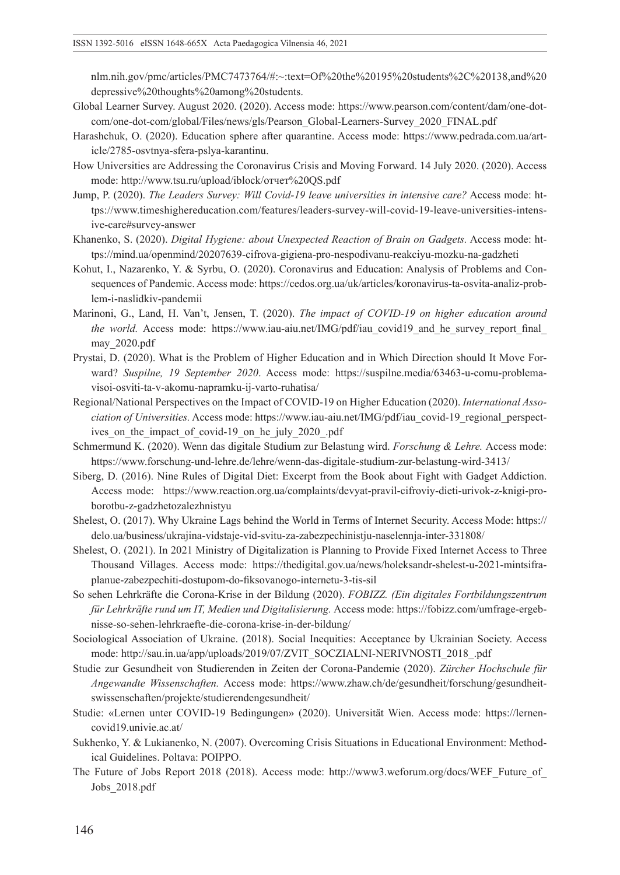nlm.nih.gov/pmc/articles/PMC7473764/#:~:text=Of%20the%20195%20students%2C%20138,and%20 depressive%20thoughts%20among%20students.

- Global Learner Survey. August 2020. (2020). Access mode: [https://www.pearson.com/content/dam/one-dot](https://www.pearson.com/content/dam/one-dot-com/one-dot-com/global/Files/news/gls/Pearson_Global-Learners-Survey_2020_FINAL.pdf)[com/one-dot-com/global/Files/news/gls/Pearson\\_Global-Learners-Survey\\_2020\\_FINAL.pdf](https://www.pearson.com/content/dam/one-dot-com/one-dot-com/global/Files/news/gls/Pearson_Global-Learners-Survey_2020_FINAL.pdf)
- Harashchuk, О. (2020). Education sphere after quarantine. Access mode: [https://www.pedrada.com.ua/art](https://www.pedrada.com.ua/article/2785-osvtnya-sfera-pslya-karantinu)[icle/2785-osvtnya-sfera-pslya-karantinu.](https://www.pedrada.com.ua/article/2785-osvtnya-sfera-pslya-karantinu)
- How Universities are Addressing the Coronavirus Crisis and Moving Forward. 14 July 2020. (2020). Access mode: [http://www.tsu.ru/upload/iblock/отчет%20QS.pdf](http://www.tsu.ru/upload/iblock/����� QS.pdf)
- Jump, P. (2020). *The Leaders Survey: Will Covid-19 leave universities in intensive care?* Access mode: [ht](https://www.timeshighereducation.com/features/leaders-survey-will-covid-19-leave-universities-intensive-care#survey-answer)[tps://www.timeshighereducation.com/features/leaders-survey-will-covid-19-leave-universities-intens](https://www.timeshighereducation.com/features/leaders-survey-will-covid-19-leave-universities-intensive-care#survey-answer)[ive-care#survey-answer](https://www.timeshighereducation.com/features/leaders-survey-will-covid-19-leave-universities-intensive-care#survey-answer)
- Khanenko, S. (2020). *Digital Hygiene: about Unexpected Reaction of Brain on Gadgets.* Access mode: [ht](https://mind.ua/openmind/20207639-cifrova-gigiena-pro-nespodivanu-reakciyu-mozku-na-gadzheti)[tps://mind.ua/openmind/20207639-cifrova-gigiena-pro-nespodivanu-reakciyu-mozku-na-gadzheti](https://mind.ua/openmind/20207639-cifrova-gigiena-pro-nespodivanu-reakciyu-mozku-na-gadzheti)
- Kohut, I., Nazarenko, Y. & Syrbu, O. (2020). Coronavirus and Education: Analysis of Problems and Consequences of Pandemic. Access mode: [https://cedos.org.ua/uk/articles/koronavirus-ta-osvita-analiz-prob](https://cedos.org.ua/uk/articles/koronavirus-ta-osvita-analiz-problem-i-naslidkiv-pandemii)[lem-i-naslidkiv-pandemii](https://cedos.org.ua/uk/articles/koronavirus-ta-osvita-analiz-problem-i-naslidkiv-pandemii)
- Marinoni, G., Land, H. Van't, Jensen, T. (2020). *The impact of COVID-19 on higher education around the world.* Access mode: https://www.iau-aiu.net/IMG/pdf/iau covid19 and he survey report final [may\\_2020.pdf](https://www.iau-aiu.net/IMG/pdf/iau_covid19_and_he_survey_report_final_may_2020.pdf)
- Prystai, D. (2020). What is the Problem of Higher Education and in Which Direction should It Move Forward? *Suspilne, 19 September 2020*. Access mode: https://suspilne.media/63463-u-comu-problemavisoi-osviti-ta-v-akomu-napramku-ij-varto-ruhatisa/
- Regional/National Perspectives on the Impact of COVID-19 on Higher Education (2020). *International Association of Universities.* Access mode: [https://www.iau-aiu.net/IMG/pdf/iau\\_covid-19\\_regional\\_perspect](https://www.iau-aiu.net/IMG/pdf/iau_covid-19_regional_perspectives_on_the_impact_of_covid-19_on_he_july_2020_.pdf)ives on the impact of covid-19 on he\_july\_2020\_.pdf
- Schmermund K. (2020). Wenn das digitale Studium zur Belastung wird. *Forschung & Lehre.* Access mode: <https://www.forschung-und-lehre.de/lehre/wenn-das-digitale-studium-zur->belastung-wird-3413/
- Siberg, D. (2016). Nine Rules of Digital Diet: Excerpt from the Book about Fight with Gadget Addiction. Access mode: [https://www.reaction.org.ua/complaints/devyat-pravil-cifroviy-dieti-urivok-z-knigi-pro](https://www.reaction.org.ua/complaints/devyat-pravil-cifroviy-dieti-urivok-z-knigi-pro-borotbu-z-gadzhetozalezhnistyu)[borotbu-z-gadzhetozalezhnistyu](https://www.reaction.org.ua/complaints/devyat-pravil-cifroviy-dieti-urivok-z-knigi-pro-borotbu-z-gadzhetozalezhnistyu)
- Shelest, O. (2017). Why Ukraine Lags behind the World in Terms of Internet Security. Access Mode: [https://](https://delo.ua/business/ukrajina-vidstaje-vid-svitu-za-zabezpechinistju-naselennja-inter-331808/) [delo.ua/business/ukrajina-vidstaje-vid-svitu-za-zabezpechinistju-naselennja-inter-331808/](https://delo.ua/business/ukrajina-vidstaje-vid-svitu-za-zabezpechinistju-naselennja-inter-331808/)
- Shelest, O. (2021). In 2021 Ministry of Digitalization is Planning to Provide Fixed Internet Access to Three Thousand Villages. Access mode: https://thedigital.gov.ua/news/holeksandr-shelest-u-2021-mintsifraplanue-zabezpechiti-dostupom-do-fiksovanogo-internetu-3-tis-sil
- So sehen Lehrkräfte die Corona-Krise in der Bildung (2020). *FOBIZZ. (Ein digitales Fortbildungszentrum für Lehrkräfte rund um IT, Medien und Digitalisierung.* Access mode: https://fobizz.com/umfrage-ergebnisse-so-sehen-lehrkraefte-die-corona-krise-in-der-bildung/
- Sociological Association of Ukraine. (2018). Social Inequities: Acceptance by Ukrainian Society. Access mode: [http://sau.in.ua/app/uploads/2019/07/ZVIT\\_SOCZIALNI-NERIVNOSTI\\_2018\\_.pdf](http://sau.in.ua/app/uploads/2019/07/ZVIT_SOCZIALNI-NERIVNOSTI_2018_.pdf)
- Studie zur Gesundheit von Studierenden in Zeiten der Corona-Pandemie (2020). *Zürcher Hochschule für Angewandte Wissenschaften.* Access mode: [https://www.zhaw.ch/de/gesundheit/forschung/gesundheit](https://www.zhaw.ch/de/gesundheit/forschung/gesundheitswissenschaften/projekte/studierendengesundheit/)[swissenschaften/projekte/studierendengesundheit/](https://www.zhaw.ch/de/gesundheit/forschung/gesundheitswissenschaften/projekte/studierendengesundheit/)
- Studie: «Lernen unter COVID-19 Bedingungen» (2020). Universität Wien. Access mode: https://lernencovid19.univie.ac.at/
- Sukhenko, Y. & Lukianenko, N. (2007). Overcoming Crisis Situations in Educational Environment: Methodical Guidelines. Poltava: POIPPO.
- The Future of Jobs Report 2018 (2018). Access mode: http://www3.weforum.org/docs/WEF\_Future\_of [Jobs\\_2018.pdf](http://www3.weforum.org/docs/WEF_Future_of_Jobs_2018.pdf)